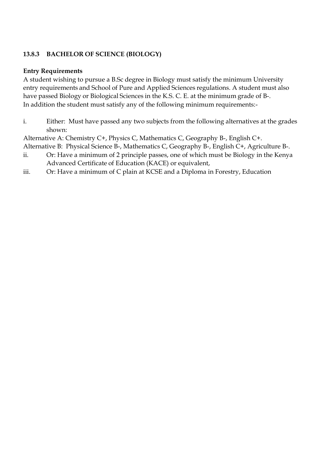# **13.8.3 BACHELOR OF SCIENCE (BIOLOGY)**

#### **Entry Requirements**

A student wishing to pursue a B.Sc degree in Biology must satisfy the minimum University entry requirements and School of Pure and Applied Sciences regulations. A student must also have passed Biology or Biological Sciences in the K.S. C. E. at the minimum grade of B-. In addition the student must satisfy any of the following minimum requirements:-

i. Either: Must have passed any two subjects from the following alternatives at the grades shown:

Alternative A: Chemistry C+, Physics C, Mathematics C, Geography B-, English C+.

Alternative B: Physical Science B-, Mathematics C, Geography B-, English C+, Agriculture B-.

- ii. Or: Have a minimum of 2 principle passes, one of which must be Biology in the Kenya Advanced Certificate of Education (KACE) or equivalent,
- iii. Or: Have a minimum of C plain at KCSE and a Diploma in Forestry, Education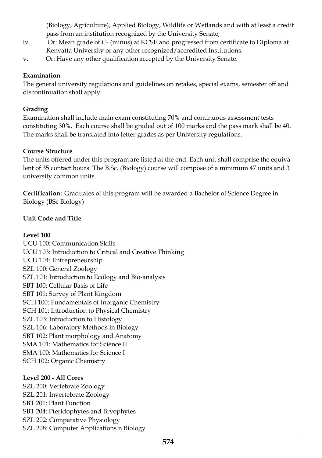(Biology, Agriculture), Applied Biology, Wildlife or Wetlands and with at least a credit pass from an institution recognized by the University Senate,

- iv. Or: Mean grade of C- (minus) at KCSE and progressed from certificate to Diploma at Kenyatta University or any other recognized/accredited Institutions.
- v. Or: Have any other qualification accepted by the University Senate.

# **Examination**

The general university regulations and guidelines on retakes, special exams, semester off and discontinuation shall apply.

## **Grading**

Examination shall include main exam constituting 70% and continuous assessment tests constituting 30%. Each course shall be graded out of 100 marks and the pass mark shall be 40. The marks shall be translated into letter grades as per University regulations.

## **Course Structure**

The units offered under this program are listed at the end. Each unit shall comprise the equivalent of 35 contact hours. The B.Sc. (Biology) course will compose of a minimum 47 units and 3 university common units.

**Certification:** Graduates of this program will be awarded a Bachelor of Science Degree in Biology (BSc Biology)

# **Unit Code and Title**

## **Level 100**

UCU 100: Communication Skills UCU 103: Introduction to Critical and Creative Thinking UCU 104: Entrepreneurship SZL 100: General Zoology SZL 101: Introduction to Ecology and Bio-analysis SBT 100: Cellular Basis of Life SBT 101: Survey of Plant Kingdom SCH 100: Fundamentals of Inorganic Chemistry SCH 101: Introduction to Physical Chemistry SZL 103: Introduction to Histology SZL 106: Laboratory Methods in Biology SBT 102: Plant morphology and Anatomy SMA 101: Mathematics for Science II SMA 100: Mathematics for Science I SCH 102: Organic Chemistry

## **Level 200 - All Cores**

SZL 200: Vertebrate Zoology SZL 201: Invertebrate Zoology SBT 201: Plant Function SBT 204: Pteridophytes and Bryophytes SZL 202: Comparative Physiology SZL 208: Computer Applications n Biology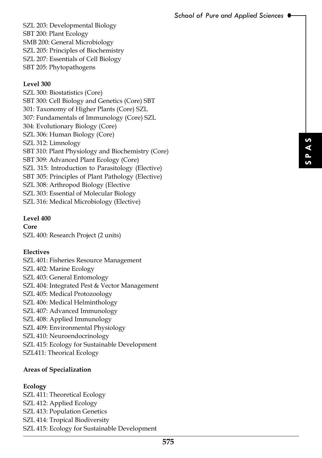SZL 203: Developmental Biology SBT 200: Plant Ecology SMB 200: General Microbiology SZL 205: Principles of Biochemistry SZL 207: Essentials of Cell Biology SBT 205: Phytopathogens

# **Level 300**

**575 S P** SZL 300: Biostatistics (Core) SBT 300: Cell Biology and Genetics (Core) SBT 301: Taxonomy of Higher Plants (Core) SZL 307: Fundamentals of Immunology (Core) SZL 304: Evolutionary Biology (Core) SZL 306: Human Biology (Core) SZL 312: Limnology SBT 310: Plant Physiology and Biochemistry (Core) SBT 309: Advanced Plant Ecology (Core) SZL 315: Introduction to Parasitology (Elective) SBT 305: Principles of Plant Pathology (Elective) SZL 308: Arthropod Biology (Elective SZL 303: Essential of Molecular Biology SZL 316: Medical Microbiology (Elective)

#### **Level 400**

**Core** SZL 400: Research Project (2 units)

## **Electives**

SZL 401: Fisheries Resource Management SZL 402: Marine Ecology SZL 403: General Entomology SZL 404: Integrated Pest & Vector Management SZL 405: Medical Protozoology SZL 406: Medical Helminthology SZL 407: Advanced Immunology SZL 408: Applied Immunology SZL 409: Environmental Physiology SZL 410: Neuroendocrinology SZL 415: Ecology for Sustainable Development SZL411: Theorical Ecology

## **Areas of Specialization**

## **Ecology**

SZL 411: Theoretical Ecology SZL 412: Applied Ecology SZL 413: Population Genetics SZL 414: Tropical Biodiversity SZL 415: Ecology for Sustainable Development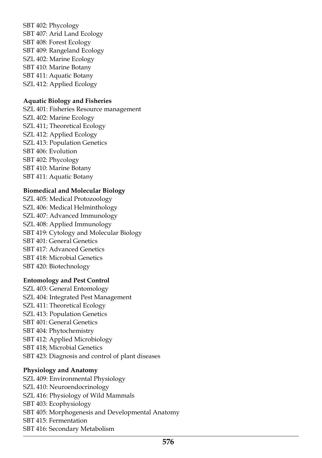SBT 402: Phycology SBT 407: Arid Land Ecology SBT 408: Forest Ecology SBT 409: Rangeland Ecology SZL 402: Marine Ecology SBT 410: Marine Botany SBT 411: Aquatic Botany SZL 412: Applied Ecology

#### **Aquatic Biology and Fisheries**

SZL 401: Fisheries Resource management SZL 402: Marine Ecology SZL 411; Theoretical Ecology SZL 412: Applied Ecology SZL 413: Population Genetics SBT 406: Evolution SBT 402: Phycology SBT 410: Marine Botany SBT 411: Aquatic Botany

#### **Biomedical and Molecular Biology**

SZL 405: Medical Protozoology SZL 406: Medical Helminthology SZL 407: Advanced Immunology SZL 408: Applied Immunology SBT 419: Cytology and Molecular Biology SBT 401: General Genetics SBT 417: Advanced Genetics SBT 418: Microbial Genetics SBT 420: Biotechnology

## **Entomology and Pest Control**

SZL 403: General Entomology SZL 404: Integrated Pest Management SZL 411: Theoretical Ecology SZL 413: Population Genetics SBT 401: General Genetics SBT 404: Phytochemistry SBT 412: Applied Microbiology SBT 418; Microbial Genetics SBT 423: Diagnosis and control of plant diseases

#### **Physiology and Anatomy**

SZL 409: Environmental Physiology SZL 410: Neuroendocrinology SZL 416: Physiology of Wild Mammals SBT 403: Ecophysiology SBT 405: Morphogenesis and Developmental Anatomy SBT 415: Fermentation SBT 416: Secondary Metabolism